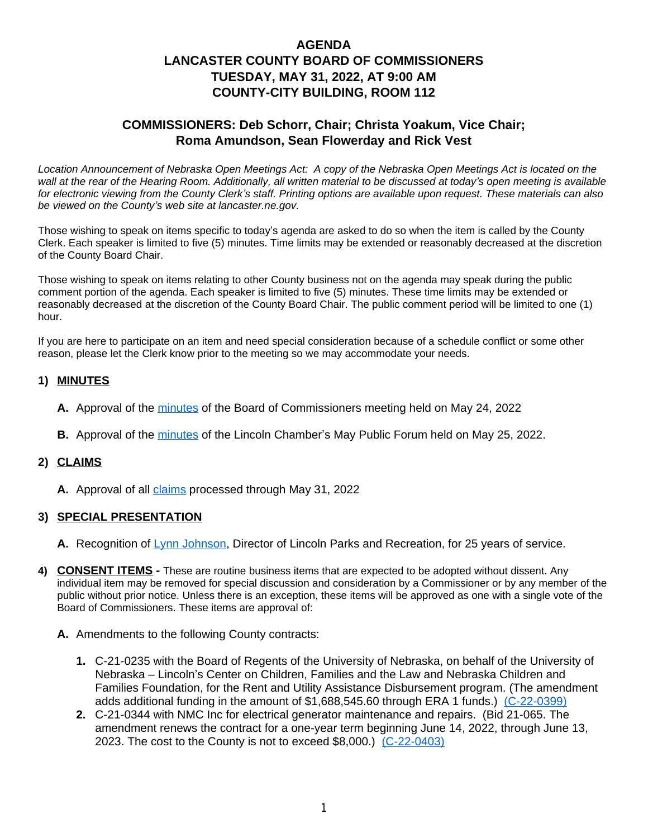# **AGENDA LANCASTER COUNTY BOARD OF COMMISSIONERS TUESDAY, MAY 31, 2022, AT 9:00 AM COUNTY-CITY BUILDING, ROOM 112**

# **COMMISSIONERS: Deb Schorr, Chair; Christa Yoakum, Vice Chair; Roma Amundson, Sean Flowerday and Rick Vest**

*Location Announcement of Nebraska Open Meetings Act: A copy of the Nebraska Open Meetings Act is located on the wall at the rear of the Hearing Room. Additionally, all written material to be discussed at today's open meeting is available for electronic viewing from the County Clerk's staff. Printing options are available upon request. These materials can also be viewed on the County's web site at lancaster.ne.gov.*

Those wishing to speak on items specific to today's agenda are asked to do so when the item is called by the County Clerk. Each speaker is limited to five (5) minutes. Time limits may be extended or reasonably decreased at the discretion of the County Board Chair.

Those wishing to speak on items relating to other County business not on the agenda may speak during the public comment portion of the agenda. Each speaker is limited to five (5) minutes. These time limits may be extended or reasonably decreased at the discretion of the County Board Chair. The public comment period will be limited to one (1) hour.

If you are here to participate on an item and need special consideration because of a schedule conflict or some other reason, please let the Clerk know prior to the meeting so we may accommodate your needs.

### **1) MINUTES**

- **A.** Approval of the [minutes](https://www.lancaster.ne.gov/DocumentCenter/View/14018/mi220524---PDF-) of the Board of Commissioners meeting held on May 24, 2022
- **B.** Approval of the [minutes](https://www.lancaster.ne.gov/DocumentCenter/View/14035/mi220525-Public-Policy-PDF-) of the Lincoln Chamber's May Public Forum held on May 25, 2022.

### **2) CLAIMS**

**A.** Approval of all [claims](https://www.lancaster.ne.gov/DocumentCenter/View/14031/Claims-05-30-2022-Vendor-Report-PDF-) processed through May 31, 2022

### **3) SPECIAL PRESENTATION**

- **A.** Recognition of [Lynn Johnson,](https://www.lancaster.ne.gov/DocumentCenter/View/14021/Recognition-of-Lynn-Johnson-May-31-2022-PDF-) Director of Lincoln Parks and Recreation, for 25 years of service.
- **4) CONSENT ITEMS -** These are routine business items that are expected to be adopted without dissent. Any individual item may be removed for special discussion and consideration by a Commissioner or by any member of the public without prior notice. Unless there is an exception, these items will be approved as one with a single vote of the Board of Commissioners. These items are approval of:
	- **A.** Amendments to the following County contracts:
		- **1.** C-21-0235 with the Board of Regents of the University of Nebraska, on behalf of the University of Nebraska – Lincoln's Center on Children, Families and the Law and Nebraska Children and Families Foundation, for the Rent and Utility Assistance Disbursement program. (The amendment adds additional funding in the amount of \$1,688,545.60 through ERA 1 funds.) [\(C-22-0399\)](https://www.lancaster.ne.gov/DocumentCenter/View/14023/C-22-0399-PDF-)
		- **2.** C-21-0344 with NMC Inc for electrical generator maintenance and repairs. (Bid 21-065. The amendment renews the contract for a one-year term beginning June 14, 2022, through June 13, 2023. The cost to the County is not to exceed  $$8,000$ .)  $(C-22-0403)$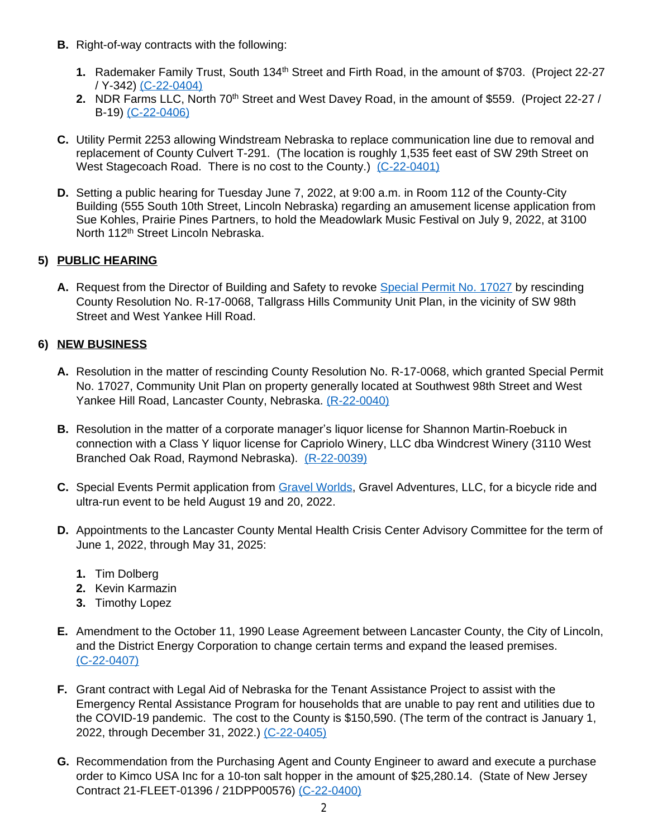- **B.** Right-of-way contracts with the following:
	- **1.** Rademaker Family Trust, South 134<sup>th</sup> Street and Firth Road, in the amount of \$703. (Project 22-27 / Y-342) [\(C-22-0404\)](https://www.lancaster.ne.gov/DocumentCenter/View/14028/C-22-0404-PDF-)
	- **2.** [NDR Farms LLC, North 70](https://www.lancaster.ne.gov/DocumentCenter/View/14028/C-22-0404-PDF-)<sup>[th](https://www.lancaster.ne.gov/DocumentCenter/View/14028/C-22-0404-PDF-)</sup> Street and West Davey Road, in the amount of \$559. (Project 22-27 / [B-19\)](https://www.lancaster.ne.gov/DocumentCenter/View/14028/C-22-0404-PDF-) [\(C-22-0406\)](https://www.lancaster.ne.gov/DocumentCenter/View/14030/C-22-0406-PDF-)
- **C.** [Utility Permit 2253 allowing Windstream Nebraska to replace communication line due to removal and](https://www.lancaster.ne.gov/DocumentCenter/View/14030/C-22-0406-PDF-)  [replacement of County Culvert T-291. \(The location is roughly 1,535 feet east of SW 29th Street on](https://www.lancaster.ne.gov/DocumentCenter/View/14030/C-22-0406-PDF-)  [West Stagecoach Road. There is no cost to the County.\)](https://www.lancaster.ne.gov/DocumentCenter/View/14030/C-22-0406-PDF-) [\(C-22-0401\)](https://www.lancaster.ne.gov/DocumentCenter/View/14025/C-22-0401-PDF-)
- **D.** Setting a public hearing for Tuesday June 7, 2022, at 9:00 a.m. in Room 112 of the County-City Building (555 South 10th Street, Lincoln Nebraska) regarding an amusement license application from Sue Kohles, Prairie Pines Partners, to hold the Meadowlark Music Festival on July 9, 2022, at 3100 North 112<sup>th</sup> Street Lincoln Nebraska.

## **5) PUBLIC HEARING**

**A.** Request from the Director of Building and Safety to revoke [Special Permit No. 17027](https://www.lancaster.ne.gov/DocumentCenter/View/14022/Special-Permit-17027-PDF-) by rescinding County Resolution No. R-17-0068, Tallgrass Hills Community Unit Plan, in the vicinity of SW 98th Street and West Yankee Hill Road.

## **6) NEW BUSINESS**

- **A.** Resolution in the matter of rescinding County Resolution No. R-17-0068, which granted Special Permit No. 17027, Community Unit Plan on property generally located at Southwest 98th Street and West Yankee Hill Road, Lancaster County, Nebraska. [\(R-22-0040\)](https://www.lancaster.ne.gov/DocumentCenter/View/14020/R-22-0040-PDF-)
- **B.** [Resolution in the matter of a corporate manager](https://www.lancaster.ne.gov/DocumentCenter/View/14020/R-22-0040-PDF-)'s liquor license for Shannon Martin-Roebuck in [connection with a Class Y liquor license for Capriolo Winery, LLC dba Windcrest Winery \(3110 West](https://www.lancaster.ne.gov/DocumentCenter/View/14020/R-22-0040-PDF-)  [Branched Oak Road, Raymond Nebraska\).](https://www.lancaster.ne.gov/DocumentCenter/View/14020/R-22-0040-PDF-) [\(R-22-0039\)](https://www.lancaster.ne.gov/DocumentCenter/View/14019/R-22-0039-PDF-)
- **C.** Special Events Permit application from [Gravel Worlds](https://www.lancaster.ne.gov/DocumentCenter/View/14032/Gravel-Worlds-PDF-), Gravel Adventures, LLC, for a bicycle ride and ultra-run event to be held August 19 and 20, 2022.
- **D.** Appointments to the Lancaster County Mental Health Crisis Center Advisory Committee for the term of June 1, 2022, through May 31, 2025:
	- **1.** Tim Dolberg
	- **2.** Kevin Karmazin
	- **3.** Timothy Lopez
- **E.** Amendment to the October 11, 1990 Lease Agreement between Lancaster County, the City of Lincoln, and the District Energy Corporation to change certain terms and expand the leased premises. [\(C-22-0407\)](https://www.lancaster.ne.gov/DocumentCenter/View/14033/C-22-0407-PDF-)
- **F.** [Grant contract with Legal Aid of Nebraska for the Tenant Assistance Project to assist with the](https://www.lancaster.ne.gov/DocumentCenter/View/14033/C-22-0407-PDF-)  [Emergency Rental Assistance Program for households that are unable to pay rent and utilities due to](https://www.lancaster.ne.gov/DocumentCenter/View/14033/C-22-0407-PDF-)  [the COVID-19 pandemic. The cost to the County is \\$150,590. \(The term of the contract is January 1,](https://www.lancaster.ne.gov/DocumentCenter/View/14033/C-22-0407-PDF-)  [2022, through December 31, 2022.\)](https://www.lancaster.ne.gov/DocumentCenter/View/14033/C-22-0407-PDF-) [\(C-22-0405\)](https://www.lancaster.ne.gov/DocumentCenter/View/14029/C-22-0405-PDF-)
- **G.** Recommendation from the Purchasing Agent and County Engineer to award and execute a purchase order to Kimco USA Inc for a 10-ton salt hopper in the amount of \$25,280.14. (State of New Jersey Contract 21-FLEET-01396 / 21DPP00576) [\(C-22-0400\)](https://www.lancaster.ne.gov/DocumentCenter/View/14024/C-22-0400-PDF-)